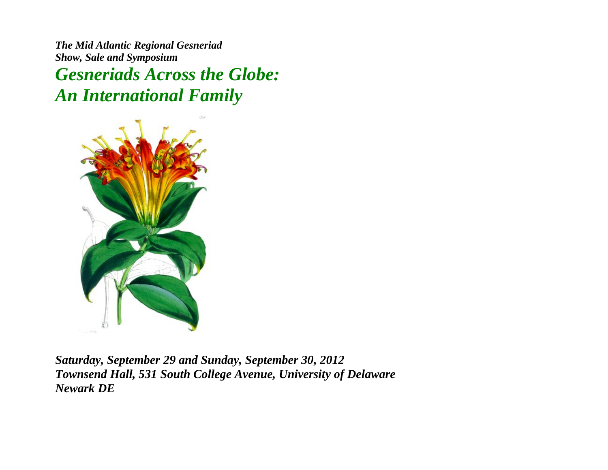*The Mid Atlantic Regional Gesneriad Show, Sale and Symposium* 

*Gesneriads Across the Globe: An International Family*



*Saturday, September 29 and Sunday, September 30, 2012 Townsend Hall, 531 South College Avenue, University of Delaware Newark DE*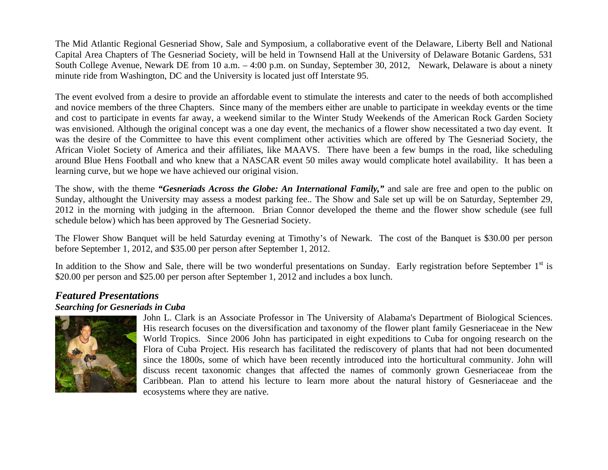The Mid Atlantic Regional Gesneriad Show, Sale and Symposium, a collaborative event of the Delaware, Liberty Bell and National Capital Area Chapters of The Gesneriad Society, will be held in Townsend Hall at the University of Delaware Botanic Gardens, 531 South College Avenue, Newark DE from 10 a.m. – 4:00 p.m. on Sunday, September 30, 2012, Newark, Delaware is about a ninety minute ride from Washington, DC and the University is located just off Interstate 95.

The event evolved from a desire to provide an affordable event to stimulate the interests and cater to the needs of both accomplished and novice members of the three Chapters. Since many of the members either are unable to participate in weekday events or the time and cost to participate in events far away, a weekend similar to the Winter Study Weekends of the American Rock Garden Society was envisioned. Although the original concept was a one day event, the mechanics of a flower show necessitated a two day event. It was the desire of the Committee to have this event compliment other activities which are offered by The Gesneriad Society, the African Violet Society of America and their affiliates, like MAAVS. There have been a few bumps in the road, like scheduling around Blue Hens Football and who knew that a NASCAR event 50 miles away would complicate hotel availability. It has been a learning curve, but we hope we have achieved our original vision.

The show, with the theme *"Gesneriads Across the Globe: An International Family,"* and sale are free and open to the public on Sunday, althought the University may assess a modest parking fee.. The Show and Sale set up will be on Saturday, September 29, 2012 in the morning with judging in the afternoon. Brian Connor developed the theme and the flower show schedule (see full schedule below) which has been approved by The Gesneriad Society.

The Flower Show Banquet will be held Saturday evening at Timothy's of Newark. The cost of the Banquet is \$30.00 per person before September 1, 2012, and \$35.00 per person after September 1, 2012.

In addition to the Show and Sale, there will be two wonderful presentations on Sunday. Early registration before September  $1<sup>st</sup>$  is \$20.00 per person and \$25.00 per person after September 1, 2012 and includes a box lunch.

## *Featured Presentations*

#### *Searching for Gesneriads in Cuba*



John L. Clark is an Associate Professor in The University of Alabama's Department of Biological Sciences. His research focuses on the diversification and taxonomy of the flower plant family Gesneriaceae in the New World Tropics. Since 2006 John has participated in eight expeditions to Cuba for ongoing research on the Flora of Cuba Project. His research has facilitated the rediscovery of plants that had not been documented since the 1800s, some of which have been recently introduced into the horticultural community. John will discuss recent taxonomic changes that affected the names of commonly grown Gesneriaceae from the Caribbean. Plan to attend his lecture to learn more about the natural history of Gesneriaceae and the ecosystems where they are native.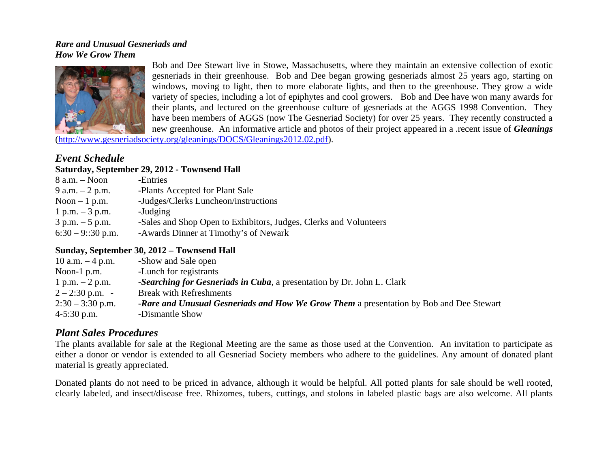#### *Rare and Unusual Gesneriads and How We Grow Them*



Bob and Dee Stewart live in Stowe, Massachusetts, where they maintain an extensive collection of exotic gesneriads in their greenhouse. Bob and Dee began growing gesneriads almost 25 years ago, starting on windows, moving to light, then to more elaborate lights, and then to the greenhouse. They grow a wide variety of species, including a lot of epiphytes and cool growers. Bob and Dee have won many awards for their plants, and lectured on the greenhouse culture of gesneriads at the AGGS 1998 Convention. They have been members of AGGS (now The Gesneriad Society) for over 25 years. They recently constructed a new greenhouse. An informative article and photos of their project appeared in a .recent issue of *Gleanings*

(http://www.gesneriadsociety.org/gleanings/DOCS/Gleanings2012.02.pdf).

# *Event Schedule*

#### **Saturday, September 29, 2012 - Townsend Hall**

| $8$ a.m. $-$ Noon   | -Entries                                                          |
|---------------------|-------------------------------------------------------------------|
| 9 a.m. $-2$ p.m.    | -Plants Accepted for Plant Sale                                   |
| Noon $-1$ p.m.      | -Judges/Clerks Luncheon/instructions                              |
| 1 p.m. $-3$ p.m.    | -Judging                                                          |
| $3 p.m. - 5 p.m.$   | -Sales and Shop Open to Exhibitors, Judges, Clerks and Volunteers |
| $6:30 - 9::30$ p.m. | -Awards Dinner at Timothy's of Newark                             |

#### **Sunday, September 30, 2012 – Townsend Hall**

| 10 a.m. $-4$ p.m.  | -Show and Sale open                                                                     |
|--------------------|-----------------------------------------------------------------------------------------|
| Noon-1 $p.m.$      | -Lunch for registrants                                                                  |
| 1 p.m. $-2$ p.m.   | -Searching for Gesneriads in Cuba, a presentation by Dr. John L. Clark                  |
| $2 - 2:30$ p.m. -  | <b>Break with Refreshments</b>                                                          |
| $2:30 - 3:30$ p.m. | -Rare and Unusual Gesneriads and How We Grow Them a presentation by Bob and Dee Stewart |
| $4-5:30$ p.m.      | -Dismantle Show                                                                         |
|                    |                                                                                         |

# *Plant Sales Procedures*

The plants available for sale at the Regional Meeting are the same as those used at the Convention. An invitation to participate as either a donor or vendor is extended to all Gesneriad Society members who adhere to the guidelines. Any amount of donated plant material is greatly appreciated.

Donated plants do not need to be priced in advance, although it would be helpful. All potted plants for sale should be well rooted, clearly labeled, and insect/disease free. Rhizomes, tubers, cuttings, and stolons in labeled plastic bags are also welcome. All plants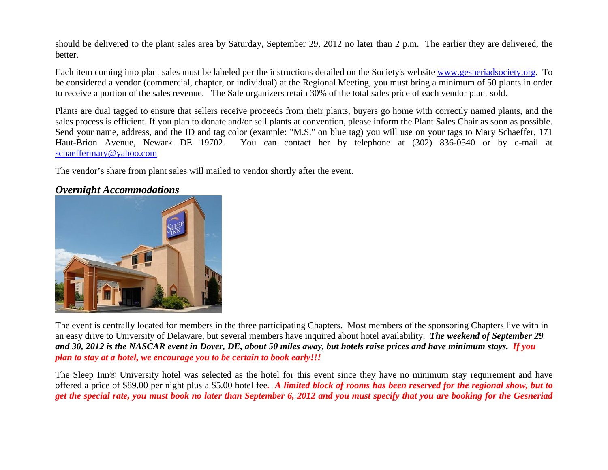should be delivered to the plant sales area by Saturday, September 29, 2012 no later than 2 p.m. The earlier they are delivered, the better.

Each item coming into plant sales must be labeled per the instructions detailed on the Society's website www.gesneriadsociety.org. To be considered a vendor (commercial, chapter, or individual) at the Regional Meeting, you must bring a minimum of 50 plants in order to receive a portion of the sales revenue. The Sale organizers retain 30% of the total sales price of each vendor plant sold.

Plants are dual tagged to ensure that sellers receive proceeds from their plants, buyers go home with correctly named plants, and the sales process is efficient. If you plan to donate and/or sell plants at convention, please inform the Plant Sales Chair as soon as possible. Send your name, address, and the ID and tag color (example: "M.S." on blue tag) you will use on your tags to Mary Schaeffer, 171 Haut-Brion Avenue, Newark DE 19702. You can contact her by telephone at (302) 836-0540 or by e-mail at schaeffermary@yahoo.com

The vendor's share from plant sales will mailed to vendor shortly after the event.

# *Overnight Accommodations*



The event is centrally located for members in the three participating Chapters. Most members of the sponsoring Chapters live with in an easy drive to University of Delaware, but several members have inquired about hotel availability. *The weekend of September 29 and 30, 2012 is the NASCAR event in Dover, DE, about 50 miles away, but hotels raise prices and have minimum stays. If you plan to stay at a hotel, we encourage you to be certain to book early!!!*

The Sleep Inn® University hotel was selected as the hotel for this event since they have no minimum stay requirement and have offered a price of \$89.00 per night plus a \$5.00 hotel fee*. A limited block of rooms has been reserved for the regional show, but to get the special rate, you must book no later than September 6, 2012 and you must specify that you are booking for the Gesneriad*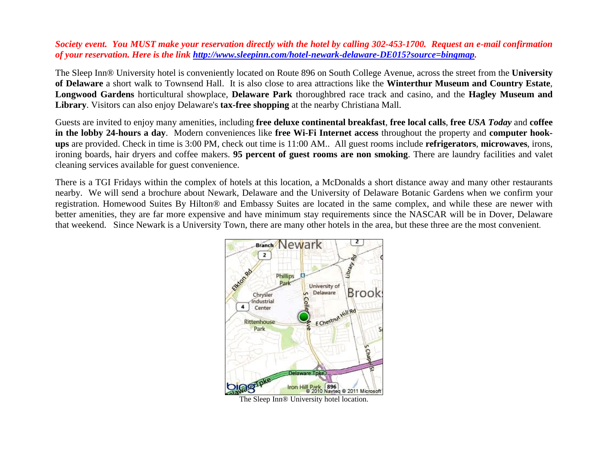#### *Society event. You MUST make your reservation directly with the hotel by calling 302-453-1700. Request an e-mail confirmation of your reservation. Here is the link http://www.sleepinn.com/hotel-newark-delaware-DE015?source=bingmap.*

The Sleep Inn® University hotel is conveniently located on Route 896 on South College Avenue, across the street from the **University of Delaware** a short walk to Townsend Hall. It is also close to area attractions like the **Winterthur Museum and Country Estate**, **Longwood Gardens** horticultural showplace, **Delaware Park** thoroughbred race track and casino, and the **Hagley Museum and Library**. Visitors can also enjoy Delaware's **tax-free shopping** at the nearby Christiana Mall.

Guests are invited to enjoy many amenities, including **free deluxe continental breakfast**, **free local calls**, **free** *USA Today* and **coffee in the lobby 24-hours a day**. Modern conveniences like **free Wi-Fi Internet access** throughout the property and **computer hookups** are provided. Check in time is 3:00 PM, check out time is 11:00 AM.. All guest rooms include **refrigerators**, **microwaves**, irons, ironing boards, hair dryers and coffee makers. **95 percent of guest rooms are non smoking**. There are laundry facilities and valet cleaning services available for guest convenience.

There is a TGI Fridays within the complex of hotels at this location, a McDonalds a short distance away and many other restaurants nearby. We will send a brochure about Newark, Delaware and the University of Delaware Botanic Gardens when we confirm your registration. Homewood Suites By Hilton® and Embassy Suites are located in the same complex, and while these are newer with better amenities, they are far more expensive and have minimum stay requirements since the NASCAR will be in Dover, Delaware that weekend. Since Newark is a University Town, there are many other hotels in the area, but these three are the most convenient.

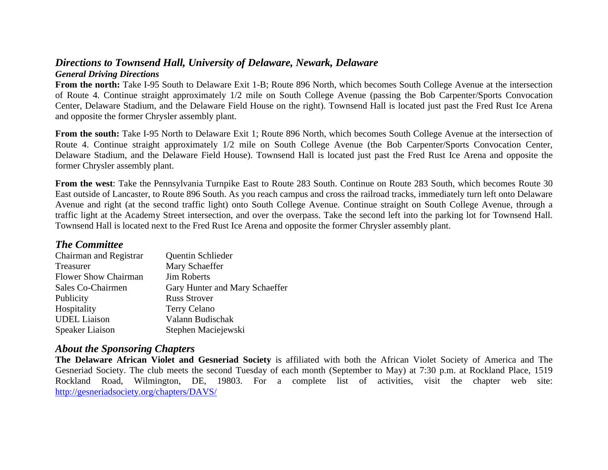#### *Directions to Townsend Hall, University of Delaware, Newark, Delaware General Driving Directions*

**From the north:** Take I-95 South to Delaware Exit 1-B; Route 896 North, which becomes South College Avenue at the intersection of Route 4. Continue straight approximately 1/2 mile on South College Avenue (passing the Bob Carpenter/Sports Convocation Center, Delaware Stadium, and the Delaware Field House on the right). Townsend Hall is located just past the Fred Rust Ice Arena and opposite the former Chrysler assembly plant.

**From the south:** Take I-95 North to Delaware Exit 1; Route 896 North, which becomes South College Avenue at the intersection of Route 4. Continue straight approximately 1/2 mile on South College Avenue (the Bob Carpenter/Sports Convocation Center, Delaware Stadium, and the Delaware Field House). Townsend Hall is located just past the Fred Rust Ice Arena and opposite the former Chrysler assembly plant.

**From the west**: Take the Pennsylvania Turnpike East to Route 283 South. Continue on Route 283 South, which becomes Route 30 East outside of Lancaster, to Route 896 South. As you reach campus and cross the railroad tracks, immediately turn left onto Delaware Avenue and right (at the second traffic light) onto South College Avenue. Continue straight on South College Avenue, through a traffic light at the Academy Street intersection, and over the overpass. Take the second left into the parking lot for Townsend Hall. Townsend Hall is located next to the Fred Rust Ice Arena and opposite the former Chrysler assembly plant.

# *The Committee*

| Chairman and Registrar      | Quentin Schlieder              |
|-----------------------------|--------------------------------|
| Treasurer                   | Mary Schaeffer                 |
| <b>Flower Show Chairman</b> | <b>Jim Roberts</b>             |
| Sales Co-Chairmen           | Gary Hunter and Mary Schaeffer |
| Publicity                   | <b>Russ Strover</b>            |
| Hospitality                 | Terry Celano                   |
| <b>UDEL</b> Liaison         | Valann Budischak               |
| Speaker Liaison             | Stephen Maciejewski            |

# *About the Sponsoring Chapters*

**The Delaware African Violet and Gesneriad Society** is affiliated with both the African Violet Society of America and The Gesneriad Society. The club meets the second Tuesday of each month (September to May) at 7:30 p.m. at Rockland Place, 1519 Rockland Road, Wilmington, DE, 19803. For a complete list of activities, visit the chapter web site: http://gesneriadsociety.org/chapters/DAVS/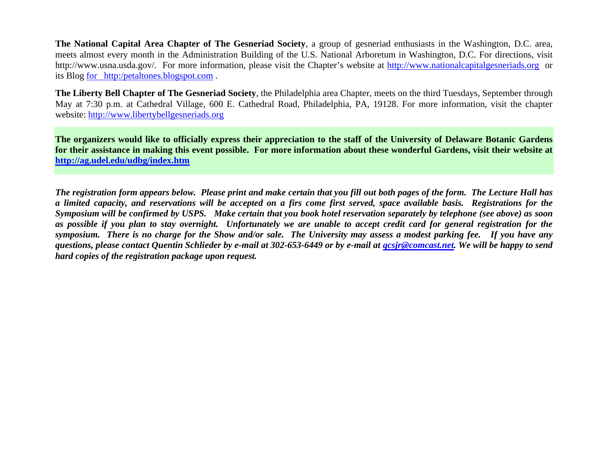**The National Capital Area Chapter of The Gesneriad Society**, a group of gesneriad enthusiasts in the Washington, D.C. area, meets almost every month in the Administration Building of the U.S. National Arboretum in Washington, D.C. For directions, visit http://www.usna.usda.gov/. For more information, please visit the Chapter's website at http://www.nationalcapitalgesneriads.org or its Blog for http:/petaltones.blogspot.com .

**The Liberty Bell Chapter of The Gesneriad Society**, the Philadelphia area Chapter, meets on the third Tuesdays, September through May at 7:30 p.m. at Cathedral Village, 600 E. Cathedral Road, Philadelphia, PA, 19128. For more information, visit the chapter website: http://www.libertybellgesneriads.org

**The organizers would like to officially express their appreciation to the staff of the University of Delaware Botanic Gardens for their assistance in making this event possible. For more information about these wonderful Gardens, visit their website at http://ag.udel.edu/udbg/index.htm**

*The registration form appears below. Please print and make certain that you fill out both pages of the form. The Lecture Hall has a limited capacity, and reservations will be accepted on a firs come first served, space available basis. Registrations for the Symposium will be confirmed by USPS. Make certain that you book hotel reservation separately by telephone (see above) as soon as possible if you plan to stay overnight. Unfortunately we are unable to accept credit card for general registration for the symposium. There is no charge for the Show and/or sale. The University may assess a modest parking fee. If you have any questions, please contact Quentin Schlieder by e-mail at 302-653-6449 or by e-mail at qcsjr@comcast.net. We will be happy to send hard copies of the registration package upon request.*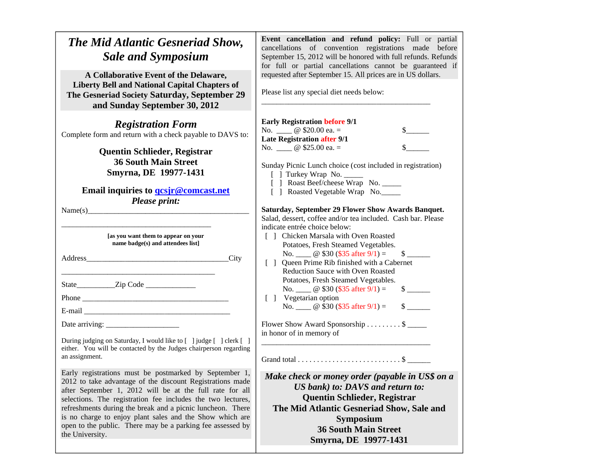| The Mid Atlantic Gesneriad Show,<br><b>Sale and Symposium</b>                                                                                                                                                                                                                                                                                                                                                                                                                                                                                                                                                           | Event cancellation and refund policy: Full or partial<br>cancellations of convention registrations made before<br>September 15, 2012 will be honored with full refunds. Refunds<br>for full or partial cancellations cannot be guaranteed if                                                                                                                                                                                                                                                                                                                                                                                                                                                                                                                                                                                                                                                                                          |
|-------------------------------------------------------------------------------------------------------------------------------------------------------------------------------------------------------------------------------------------------------------------------------------------------------------------------------------------------------------------------------------------------------------------------------------------------------------------------------------------------------------------------------------------------------------------------------------------------------------------------|---------------------------------------------------------------------------------------------------------------------------------------------------------------------------------------------------------------------------------------------------------------------------------------------------------------------------------------------------------------------------------------------------------------------------------------------------------------------------------------------------------------------------------------------------------------------------------------------------------------------------------------------------------------------------------------------------------------------------------------------------------------------------------------------------------------------------------------------------------------------------------------------------------------------------------------|
| A Collaborative Event of the Delaware,<br><b>Liberty Bell and National Capital Chapters of</b><br>The Gesneriad Society Saturday, September 29<br>and Sunday September 30, 2012                                                                                                                                                                                                                                                                                                                                                                                                                                         | requested after September 15. All prices are in US dollars.<br>Please list any special diet needs below:                                                                                                                                                                                                                                                                                                                                                                                                                                                                                                                                                                                                                                                                                                                                                                                                                              |
| <b>Registration Form</b><br>Complete form and return with a check payable to DAVS to:<br><b>Quentin Schlieder, Registrar</b><br><b>36 South Main Street</b><br>Smyrna, DE 19977-1431<br>Email inquiries to <b>gcs</b> ir @ comcast.net<br><b>Please print:</b><br>[as you want them to appear on your<br>name badge(s) and attendees list]                                                                                                                                                                                                                                                                              | <b>Early Registration before 9/1</b><br>No. $\qquad \qquad \omega$ \$20.00 ea. =<br>$\mathbb{S}$ and $\mathbb{S}$<br><b>Late Registration after 9/1</b><br>No. $\_\_$ @ \$25.00 ea. =<br>Sunday Picnic Lunch choice (cost included in registration)<br>[ ] Turkey Wrap No. _<br>[ ] Roast Beef/cheese Wrap No. _____<br>[ ] Roasted Vegetable Wrap No.<br>Saturday, September 29 Flower Show Awards Banquet.<br>Salad, dessert, coffee and/or tea included. Cash bar. Please<br>indicate entrée choice below:<br>[] Chicken Marsala with Oven Roasted<br>Potatoes, Fresh Steamed Vegetables.<br>No. $\_\_$ @ \$30 (\$35 after 9/1) =<br>$\mathbb{S}$<br>Queen Prime Rib finished with a Cabernet<br>$\Box$<br><b>Reduction Sauce with Oven Roasted</b><br>Potatoes, Fresh Steamed Vegetables.<br>No. $\_\_$ @ \$30 (\$35 after 9/1) =<br>$\frac{\text{S}}{\text{S}}$<br>[ ] Vegetarian option<br>No. $\_\_$ @ \$30 (\$35 after 9/1) = |
| During judging on Saturday, I would like to [ ] judge [ ] clerk [ ]<br>either. You will be contacted by the Judges chairperson regarding<br>an assignment.<br>Early registrations must be postmarked by September 1,<br>2012 to take advantage of the discount Registrations made<br>after September 1, 2012 will be at the full rate for all<br>selections. The registration fee includes the two lectures,<br>refreshments during the break and a picnic luncheon. There<br>is no charge to enjoy plant sales and the Show which are<br>open to the public. There may be a parking fee assessed by<br>the University. | Flower Show Award Sponsorship \$<br>in honor of in memory of<br>Make check or money order (payable in US\$ on a<br>US bank) to: DAVS and return to:<br><b>Quentin Schlieder, Registrar</b><br>The Mid Atlantic Gesneriad Show, Sale and<br><b>Symposium</b><br><b>36 South Main Street</b><br>Smyrna, DE 19977-1431                                                                                                                                                                                                                                                                                                                                                                                                                                                                                                                                                                                                                   |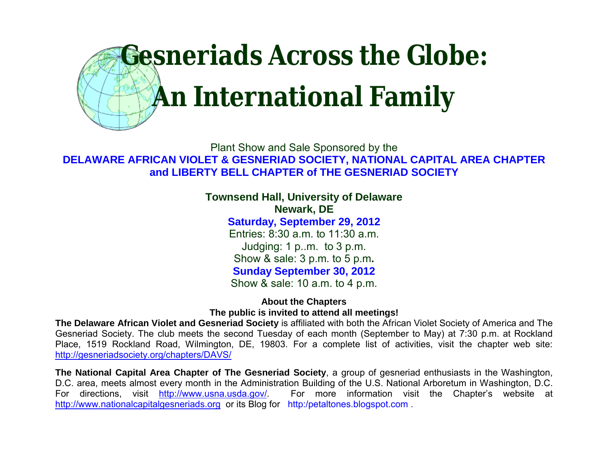

Plant Show and Sale Sponsored by the **DELAWARE AFRICAN VIOLET & GESNERIAD SOCIETY, NATIONAL CAPITAL AREA CHAPTER and LIBERTY BELL CHAPTER of THE GESNERIAD SOCIETY**

> **Townsend Hall, University of Delaware Newark, DE**

> > **Saturday, September 29, 2012**

Entries: 8:30 a.m. to 11:30 a.m. Judging: 1 p..m. to 3 p.m. Show & sale: 3 p.m. to 5 p.m**. Sunday September 30, 2012**

Show & sale: 10 a.m. to 4 p.m.

**About the Chapters The public is invited to attend all meetings!**

**The Delaware African Violet and Gesneriad Society** is affiliated with both the African Violet Society of America and The Gesneriad Society. The club meets the second Tuesday of each month (September to May) at 7:30 p.m. at Rockland Place, 1519 Rockland Road, Wilmington, DE, 19803. For a complete list of activities, visit the chapter web site: http://gesneriadsociety.org/chapters/DAVS/

**The National Capital Area Chapter of The Gesneriad Society**, a group of gesneriad enthusiasts in the Washington, D.C. area, meets almost every month in the Administration Building of the U.S. National Arboretum in Washington, D.C. For directions, visit http://www.usna.usda.gov/. For more information visit the Chapter's website at http://www.nationalcapitalgesneriads.org or its Blog for http:/petaltones.blogspot.com .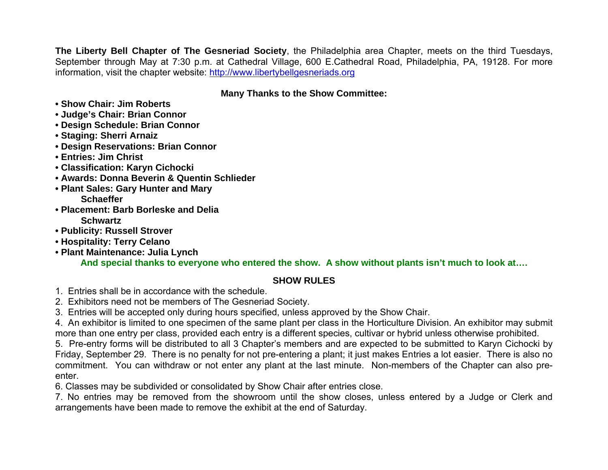**The Liberty Bell Chapter of The Gesneriad Society**, the Philadelphia area Chapter, meets on the third Tuesdays, September through May at 7:30 p.m. at Cathedral Village, 600 E.Cathedral Road, Philadelphia, PA, 19128. For more information, visit the chapter website: http://www.libertybellgesneriads.org

## **Many Thanks to the Show Committee:**

- **Show Chair: Jim Roberts**
- **Judge's Chair: Brian Connor**
- **Design Schedule: Brian Connor**
- **Staging: Sherri Arnaiz**
- **Design Reservations: Brian Connor**
- **Entries: Jim Christ**
- **Classification: Karyn Cichocki**
- **Awards: Donna Beverin & Quentin Schlieder**
- **Plant Sales: Gary Hunter and Mary Schaeffer**
- **Placement: Barb Borleske and Delia Schwartz**
- **Publicity: Russell Strover**
- **Hospitality: Terry Celano**
- **Plant Maintenance: Julia Lynch**

**And special thanks to everyone who entered the show. A show without plants isn't much to look at….**

# **SHOW RULES**

- 1. Entries shall be in accordance with the schedule.
- 2. Exhibitors need not be members of The Gesneriad Society.
- 3. Entries will be accepted only during hours specified, unless approved by the Show Chair.

4. An exhibitor is limited to one specimen of the same plant per class in the Horticulture Division. An exhibitor may submit more than one entry per class, provided each entry is a different species, cultivar or hybrid unless otherwise prohibited.

5. Pre-entry forms will be distributed to all 3 Chapter's members and are expected to be submitted to Karyn Cichocki by Friday, September 29. There is no penalty for not pre-entering a plant; it just makes Entries a lot easier. There is also no commitment. You can withdraw or not enter any plant at the last minute. Non-members of the Chapter can also preenter.

6. Classes may be subdivided or consolidated by Show Chair after entries close.

7. No entries may be removed from the showroom until the show closes, unless entered by a Judge or Clerk and arrangements have been made to remove the exhibit at the end of Saturday.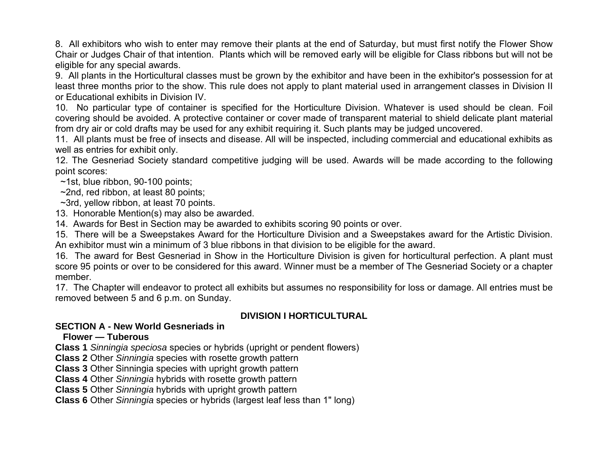8. All exhibitors who wish to enter may remove their plants at the end of Saturday, but must first notify the Flower Show Chair or Judges Chair of that intention. Plants which will be removed early will be eligible for Class ribbons but will not be eligible for any special awards.

9. All plants in the Horticultural classes must be grown by the exhibitor and have been in the exhibitor's possession for at least three months prior to the show. This rule does not apply to plant material used in arrangement classes in Division II or Educational exhibits in Division IV.

10. No particular type of container is specified for the Horticulture Division. Whatever is used should be clean. Foil covering should be avoided. A protective container or cover made of transparent material to shield delicate plant material from dry air or cold drafts may be used for any exhibit requiring it. Such plants may be judged uncovered.

11. All plants must be free of insects and disease. All will be inspected, including commercial and educational exhibits as well as entries for exhibit only.

12. The Gesneriad Society standard competitive judging will be used. Awards will be made according to the following point scores:

~1st, blue ribbon, 90-100 points;

~2nd, red ribbon, at least 80 points;

~3rd, yellow ribbon, at least 70 points.

13. Honorable Mention(s) may also be awarded.

14. Awards for Best in Section may be awarded to exhibits scoring 90 points or over.

15. There will be a Sweepstakes Award for the Horticulture Division and a Sweepstakes award for the Artistic Division. An exhibitor must win a minimum of 3 blue ribbons in that division to be eligible for the award.

16. The award for Best Gesneriad in Show in the Horticulture Division is given for horticultural perfection. A plant must score 95 points or over to be considered for this award. Winner must be a member of The Gesneriad Society or a chapter member.

17. The Chapter will endeavor to protect all exhibits but assumes no responsibility for loss or damage. All entries must be removed between 5 and 6 p.m. on Sunday.

# **DIVISION I HORTICULTURAL**

## **SECTION A - New World Gesneriads in**

## **Flower — Tuberous**

**Class 1** *Sinningia speciosa* species or hybrids (upright or pendent flowers)

**Class 2** Other *Sinningia* species with rosette growth pattern

**Class 3** Other Sinningia species with upright growth pattern

**Class 4** Other *Sinningia* hybrids with rosette growth pattern

**Class 5** Other *Sinningia* hybrids with upright growth pattern

**Class 6** Other *Sinningia* species or hybrids (largest leaf less than 1" long)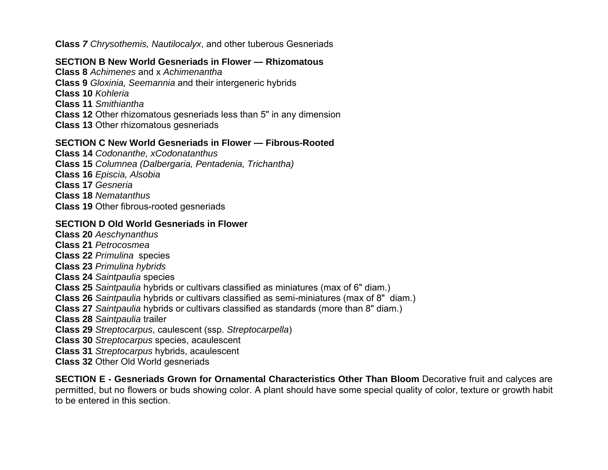**Class** *7 Chrysothemis, Nautilocalyx*, and other tuberous Gesneriads

## **SECTION B New World Gesneriads in Flower — Rhizomatous**

**Class 8** *Achimenes* and x *Achimenantha* **Class 9** *Gloxinia, Seemannia* and their intergeneric hybrids **Class 10** *Kohleria*  **Class 11** *Smithiantha*  **Class 12** Other rhizomatous gesneriads less than 5" in any dimension **Class 13** Other rhizomatous gesneriads

## **SECTION C New World Gesneriads in Flower — Fibrous-Rooted**

**Class 14** *Codonanthe, xCodonatanthus*

- **Class 15** *Columnea (Dalbergaria, Pentadenia, Trichantha)*
- **Class 16** *Episcia, Alsobia*
- **Class 17** *Gesneria*
- **Class 18** *Nematanthus*
- **Class 19** Other fibrous-rooted gesneriads

## **SECTION D Old World Gesneriads in Flower**

- **Class 20** *Aeschynanthus*
- **Class 21** *Petrocosmea*
- **Class 22** *Primulina* species
- **Class 23** *Primulina hybrids*
- **Class 24** *Saintpaulia* species
- **Class 25** *Saintpaulia* hybrids or cultivars classified as miniatures (max of 6" diam.)
- **Class 26** *Saintpaulia* hybrids or cultivars classified as semi-miniatures (max of 8" diam.)
- **Class 27** *Saintpaulia* hybrids or cultivars classified as standards (more than 8" diam.)
- **Class 28** *Saintpaulia* trailer
- **Class 29** *Streptocarpus*, caulescent (ssp. *Streptocarpella*)
- **Class 30** *Streptocarpus* species, acaulescent
- **Class 31** *Streptocarpus* hybrids, acaulescent
- **Class 32** Other Old World gesneriads

**SECTION E - Gesneriads Grown for Ornamental Characteristics Other Than Bloom** Decorative fruit and calyces are permitted, but no flowers or buds showing color. A plant should have some special quality of color, texture or growth habit to be entered in this section.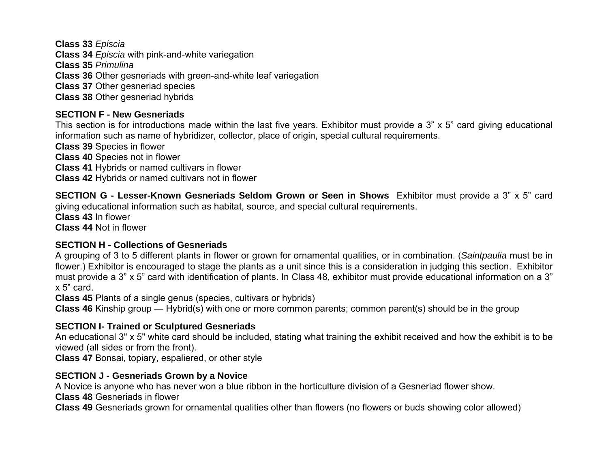**Class 33** *Episcia* **Class 34** *Episcia* with pink-and-white variegation **Class 35** *Primulina* **Class 36** Other gesneriads with green-and-white leaf variegation **Class 37** Other gesneriad species **Class 38** Other gesneriad hybrids

# **SECTION F - New Gesneriads**

This section is for introductions made within the last five years. Exhibitor must provide a 3" x 5" card giving educational information such as name of hybridizer, collector, place of origin, special cultural requirements.

**Class 39** Species in flower

**Class 40** Species not in flower

**Class 41** Hybrids or named cultivars in flower

**Class 42** Hybrids or named cultivars not in flower

**SECTION G - Lesser-Known Gesneriads Seldom Grown or Seen in Shows** Exhibitor must provide a 3" x 5" card giving educational information such as habitat, source, and special cultural requirements.

**Class 43** In flower

**Class 44** Not in flower

## **SECTION H - Collections of Gesneriads**

A grouping of 3 to 5 different plants in flower or grown for ornamental qualities, or in combination. (*Saintpaulia* must be in flower.) Exhibitor is encouraged to stage the plants as a unit since this is a consideration in judging this section. Exhibitor must provide a 3" x 5" card with identification of plants. In Class 48, exhibitor must provide educational information on a 3" x 5" card.

**Class 45** Plants of a single genus (species, cultivars or hybrids)

**Class 46** Kinship group — Hybrid(s) with one or more common parents; common parent(s) should be in the group

# **SECTION I- Trained or Sculptured Gesneriads**

An educational 3" x 5" white card should be included, stating what training the exhibit received and how the exhibit is to be viewed (all sides or from the front).

**Class 47** Bonsai, topiary, espaliered, or other style

# **SECTION J - Gesneriads Grown by a Novice**

A Novice is anyone who has never won a blue ribbon in the horticulture division of a Gesneriad flower show.

**Class 48** Gesneriads in flower

**Class 49** Gesneriads grown for ornamental qualities other than flowers (no flowers or buds showing color allowed)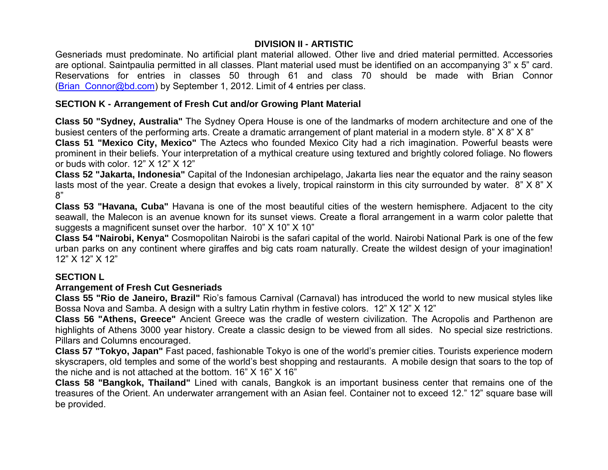#### **DIVISION II - ARTISTIC**

Gesneriads must predominate. No artificial plant material allowed. Other live and dried material permitted. Accessories are optional. Saintpaulia permitted in all classes. Plant material used must be identified on an accompanying 3" x 5" card. Reservations for entries in classes 50 through 61 and class 70 should be made with Brian Connor (Brian Connor@bd.com) by September 1, 2012. Limit of 4 entries per class.

#### **SECTION K - Arrangement of Fresh Cut and/or Growing Plant Material**

**Class 50 "Sydney, Australia"** The Sydney Opera House is one of the landmarks of modern architecture and one of the busiest centers of the performing arts. Create a dramatic arrangement of plant material in a modern style. 8" X 8" X 8"

**Class 51 "Mexico City, Mexico"** The Aztecs who founded Mexico City had a rich imagination. Powerful beasts were prominent in their beliefs. Your interpretation of a mythical creature using textured and brightly colored foliage. No flowers or buds with color. 12" X 12" X 12"

**Class 52 "Jakarta, Indonesia"** Capital of the Indonesian archipelago, Jakarta lies near the equator and the rainy season lasts most of the year. Create a design that evokes a lively, tropical rainstorm in this city surrounded by water. 8" X 8" X 8"

**Class 53 "Havana, Cuba"** Havana is one of the most beautiful cities of the western hemisphere. Adjacent to the city seawall, the Malecon is an avenue known for its sunset views. Create a floral arrangement in a warm color palette that suggests a magnificent sunset over the harbor. 10" X 10" X 10"

**Class 54 "Nairobi, Kenya"** Cosmopolitan Nairobi is the safari capital of the world. Nairobi National Park is one of the few urban parks on any continent where giraffes and big cats roam naturally. Create the wildest design of your imagination! 12" X 12" X 12"

## **SECTION L**

#### **Arrangement of Fresh Cut Gesneriads**

**Class 55 "Rio de Janeiro, Brazil"** Rio's famous Carnival (Carnaval) has introduced the world to new musical styles like Bossa Nova and Samba. A design with a sultry Latin rhythm in festive colors. 12" X 12" X 12"

**Class 56 "Athens, Greece"** Ancient Greece was the cradle of western civilization. The Acropolis and Parthenon are highlights of Athens 3000 year history. Create a classic design to be viewed from all sides. No special size restrictions. Pillars and Columns encouraged.

**Class 57 "Tokyo, Japan"** Fast paced, fashionable Tokyo is one of the world's premier cities. Tourists experience modern skyscrapers, old temples and some of the world's best shopping and restaurants. A mobile design that soars to the top of the niche and is not attached at the bottom. 16" X 16" X 16"

**Class 58 "Bangkok, Thailand"** Lined with canals, Bangkok is an important business center that remains one of the treasures of the Orient. An underwater arrangement with an Asian feel. Container not to exceed 12." 12" square base will be provided.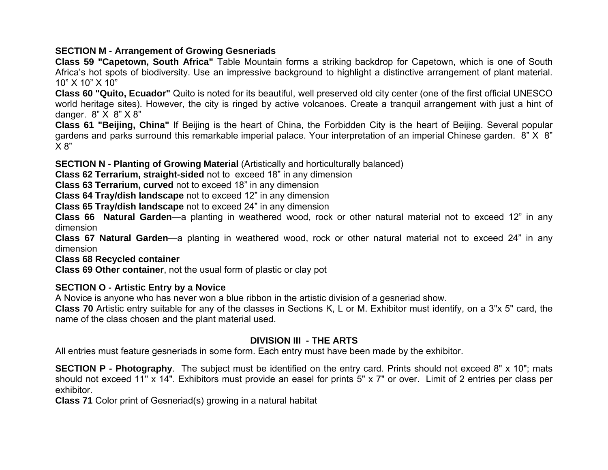## **SECTION M - Arrangement of Growing Gesneriads**

**Class 59 "Capetown, South Africa"** Table Mountain forms a striking backdrop for Capetown, which is one of South Africa's hot spots of biodiversity. Use an impressive background to highlight a distinctive arrangement of plant material. 10" X 10" X 10"

**Class 60 "Quito, Ecuador"** Quito is noted for its beautiful, well preserved old city center (one of the first official UNESCO world heritage sites). However, the city is ringed by active volcanoes. Create a tranquil arrangement with just a hint of danger. 8" X 8" X 8"

**Class 61 "Beijing, China"** If Beijing is the heart of China, the Forbidden City is the heart of Beijing. Several popular gardens and parks surround this remarkable imperial palace. Your interpretation of an imperial Chinese garden. 8" X 8" X 8"

**SECTION N - Planting of Growing Material** (Artistically and horticulturally balanced)

**Class 62 Terrarium, straight-sided** not to exceed 18" in any dimension

**Class 63 Terrarium, curved** not to exceed 18" in any dimension

**Class 64 Tray/dish landscape** not to exceed 12" in any dimension

**Class 65 Tray/dish landscape** not to exceed 24" in any dimension

**Class 66 Natural Garden**—a planting in weathered wood, rock or other natural material not to exceed 12" in any dimension

**Class 67 Natural Garden**—a planting in weathered wood, rock or other natural material not to exceed 24" in any dimension

**Class 68 Recycled container**

**Class 69 Other container**, not the usual form of plastic or clay pot

# **SECTION O - Artistic Entry by a Novice**

A Novice is anyone who has never won a blue ribbon in the artistic division of a gesneriad show.

**Class 70** Artistic entry suitable for any of the classes in Sections K, L or M. Exhibitor must identify, on a 3"x 5" card, the name of the class chosen and the plant material used.

# **DIVISION III - THE ARTS**

All entries must feature gesneriads in some form. Each entry must have been made by the exhibitor.

**SECTION P - Photography**. The subject must be identified on the entry card. Prints should not exceed 8" x 10"; mats should not exceed 11" x 14". Exhibitors must provide an easel for prints 5" x 7" or over. Limit of 2 entries per class per exhibitor.

**Class 71** Color print of Gesneriad(s) growing in a natural habitat